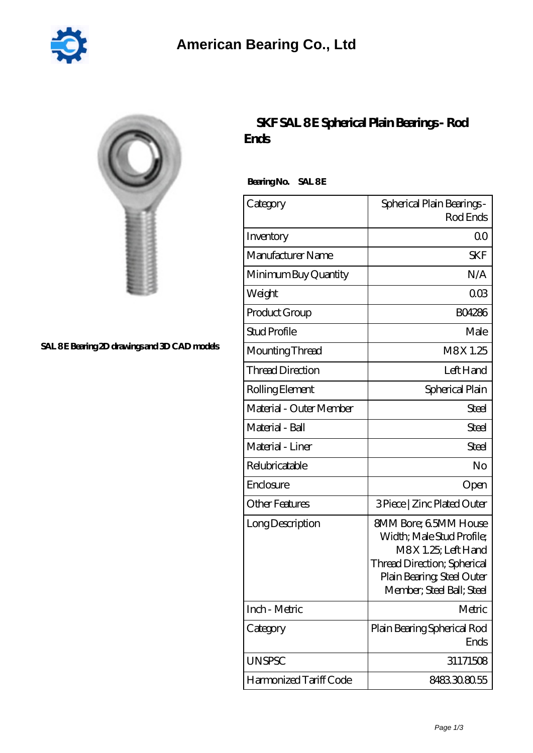

| ٠<br>٠<br>٠<br>٠<br>۰ |  |
|-----------------------|--|

## SAL 8E Bearing 2D drawings and 3D CAD models

## **[SKF SAL 8 E Spherical Plain Bearings - Rod](https://2reflex.de/bz-256111-skf-sal-8-e-spherical-plain-bearings-rod-ends.html) [Ends](https://2reflex.de/bz-256111-skf-sal-8-e-spherical-plain-bearings-rod-ends.html)**

Bearing No. SAL 8E

| Category                | Spherical Plain Bearings -<br>Rod Ends                                                                                                                                     |
|-------------------------|----------------------------------------------------------------------------------------------------------------------------------------------------------------------------|
| Inventory               | 0 <sub>0</sub>                                                                                                                                                             |
| Manufacturer Name       | <b>SKF</b>                                                                                                                                                                 |
| Minimum Buy Quantity    | N/A                                                                                                                                                                        |
| Weight                  | 003                                                                                                                                                                        |
| Product Group           | <b>BO4286</b>                                                                                                                                                              |
| <b>Stud Profile</b>     | Male                                                                                                                                                                       |
| Mounting Thread         | M8X1.25                                                                                                                                                                    |
| <b>Thread Direction</b> | Left Hand                                                                                                                                                                  |
| Rolling Element         | Spherical Plain                                                                                                                                                            |
| Material - Outer Member | Steel                                                                                                                                                                      |
| Material - Ball         | Steel                                                                                                                                                                      |
| Material - Liner        | Steel                                                                                                                                                                      |
| Relubricatable          | No                                                                                                                                                                         |
| Enclosure               | Open                                                                                                                                                                       |
| <b>Other Features</b>   | 3 Piece   Zinc Plated Outer                                                                                                                                                |
| Long Description        | <b>SMM Bore; 6.5MM House</b><br>Width; Male Stud Profile;<br>M8X 1.25; Left Hand<br>Thread Direction; Spherical<br>Plain Bearing, Steel Outer<br>Member; Steel Ball; Steel |
| Inch - Metric           | Metric                                                                                                                                                                     |
| Category                | Plain Bearing Spherical Rod<br>Ends                                                                                                                                        |
| <b>UNSPSC</b>           | 31171508                                                                                                                                                                   |
| Harmonized Tariff Code  | 8483308055                                                                                                                                                                 |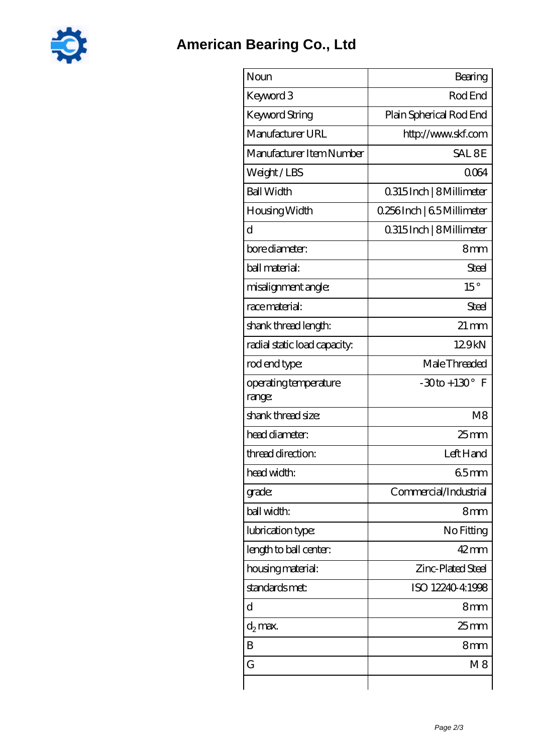

| Noun                            | Bearing                    |
|---------------------------------|----------------------------|
| Keyword 3                       | Rod End                    |
| Keyword String                  | Plain Spherical Rod End    |
| Manufacturer URL                | http://www.skf.com         |
| Manufacturer Item Number        | SAL <sub>8E</sub>          |
| Weight/LBS                      | 0064                       |
| <b>Ball Width</b>               | 0.315 Inch   8 Millimeter  |
| Housing Width                   | 0.256Inch   6.5 Millimeter |
| d                               | 0.315 Inch   8 Millimeter  |
| bore diameter:                  | 8 <sub>mm</sub>            |
| ball material:                  | Steel                      |
| misalignment angle:             | $15^{\circ}$               |
| race material:                  | Steel                      |
| shank thread length:            | $21 \,\mathrm{mm}$         |
| radial static load capacity:    | 129kN                      |
| rod end type:                   | Male Threaded              |
| operating temperature<br>range: | $-30$ to + 130 $\degree$ F |
| shank thread size:              | M <sub>8</sub>             |
| head diameter:                  | $25$ mm                    |
| thread direction:               | Left Hand                  |
| head width:                     | 65mm                       |
| grade:                          | Commercial/Industrial      |
| ball width:                     | 8mm                        |
| lubrication type:               | No Fitting                 |
| length to ball center.          | $42 \text{mm}$             |
| housing material:               | Zinc-Plated Steel          |
| standards met:                  | ISO 12240-4:1998           |
| d                               | 8mm                        |
| $d_2$ max.                      | 25 mm                      |
| B                               | 8mm                        |
| G                               | M8                         |
|                                 |                            |